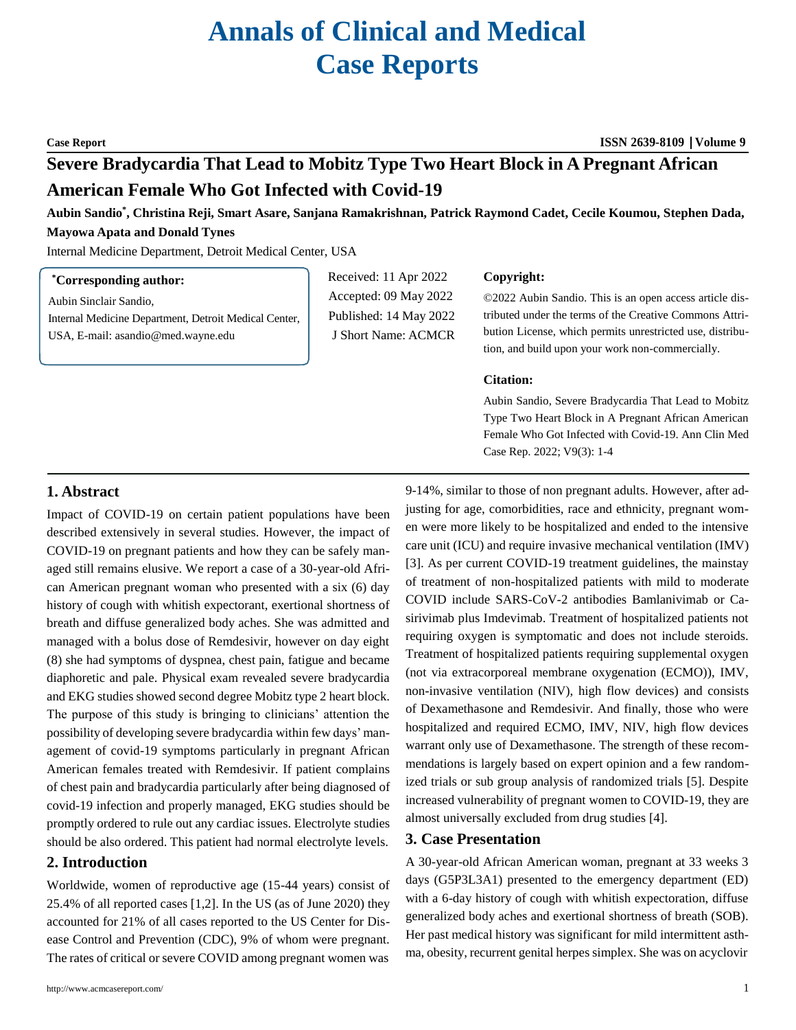# **Annals of Clinical and Medical Case Reports**

**Case Report ISSN 2639-8109 Volume 9**

## **Severe Bradycardia That Lead to Mobitz Type Two Heart Block in A Pregnant African American Female Who Got Infected with Covid-19**

**Aubin Sandio\* , Christina Reji, Smart Asare, Sanjana Ramakrishnan, Patrick Raymond Cadet, Cecile Koumou, Stephen Dada, Mayowa Apata and Donald Tynes**

Internal Medicine Department, Detroit Medical Center, USA

#### **\*Corresponding author:**

Aubin Sinclair Sandio, Internal Medicine Department, Detroit Medical Center, USA, E-mail: [asandio@med.wayne.edu](mailto:asandio@med.wayne.edu)

Received: 11 Apr 2022 Accepted: 09 May 2022 Published: 14 May 2022 J Short Name: ACMCR

#### **Copyright:**

©2022 Aubin Sandio. This is an open access article distributed under the terms of the Creative Commons Attribution License, which permits unrestricted use, distribution, and build upon your work non-commercially.

#### **Citation:**

Aubin Sandio, Severe Bradycardia That Lead to Mobitz Type Two Heart Block in A Pregnant African American Female Who Got Infected with Covid-19. Ann Clin Med Case Rep. 2022; V9(3): 1-4

### **1. Abstract**

Impact of COVID-19 on certain patient populations have been described extensively in several studies. However, the impact of COVID-19 on pregnant patients and how they can be safely managed still remains elusive. We report a case of a 30-year-old African American pregnant woman who presented with a six (6) day history of cough with whitish expectorant, exertional shortness of breath and diffuse generalized body aches. She was admitted and managed with a bolus dose of Remdesivir, however on day eight (8) she had symptoms of dyspnea, chest pain, fatigue and became diaphoretic and pale. Physical exam revealed severe bradycardia and EKG studies showed second degree Mobitz type 2 heart block. The purpose of this study is bringing to clinicians' attention the possibility of developing severe bradycardia within few days' management of covid-19 symptoms particularly in pregnant African American females treated with Remdesivir. If patient complains of chest pain and bradycardia particularly after being diagnosed of covid-19 infection and properly managed, EKG studies should be promptly ordered to rule out any cardiac issues. Electrolyte studies should be also ordered. This patient had normal electrolyte levels.

#### **2. Introduction**

Worldwide, women of reproductive age (15-44 years) consist of 25.4% of all reported cases [1,2]. In the US (as of June 2020) they accounted for 21% of all cases reported to the US Center for Disease Control and Prevention (CDC), 9% of whom were pregnant. The rates of critical or severe COVID among pregnant women was

9-14%, similar to those of non pregnant adults. However, after adjusting for age, comorbidities, race and ethnicity, pregnant women were more likely to be hospitalized and ended to the intensive care unit (ICU) and require invasive mechanical ventilation (IMV) [3]. As per current COVID-19 treatment guidelines, the mainstay of treatment of non-hospitalized patients with mild to moderate COVID include SARS-CoV-2 antibodies Bamlanivimab or Casirivimab plus Imdevimab. Treatment of hospitalized patients not requiring oxygen is symptomatic and does not include steroids. Treatment of hospitalized patients requiring supplemental oxygen (not via extracorporeal membrane oxygenation (ECMO)), IMV, non-invasive ventilation (NIV), high flow devices) and consists of Dexamethasone and Remdesivir. And finally, those who were hospitalized and required ECMO, IMV, NIV, high flow devices warrant only use of Dexamethasone. The strength of these recommendations is largely based on expert opinion and a few randomized trials or sub group analysis of randomized trials [5]. Despite increased vulnerability of pregnant women to COVID-19, they are almost universally excluded from drug studies [4].

#### **3. Case Presentation**

A 30-year-old African American woman, pregnant at 33 weeks 3 days (G5P3L3A1) presented to the emergency department (ED) with a 6-day history of cough with whitish expectoration, diffuse generalized body aches and exertional shortness of breath (SOB). Her past medical history was significant for mild intermittent asthma, obesity, recurrent genital herpes simplex. She was on acyclovir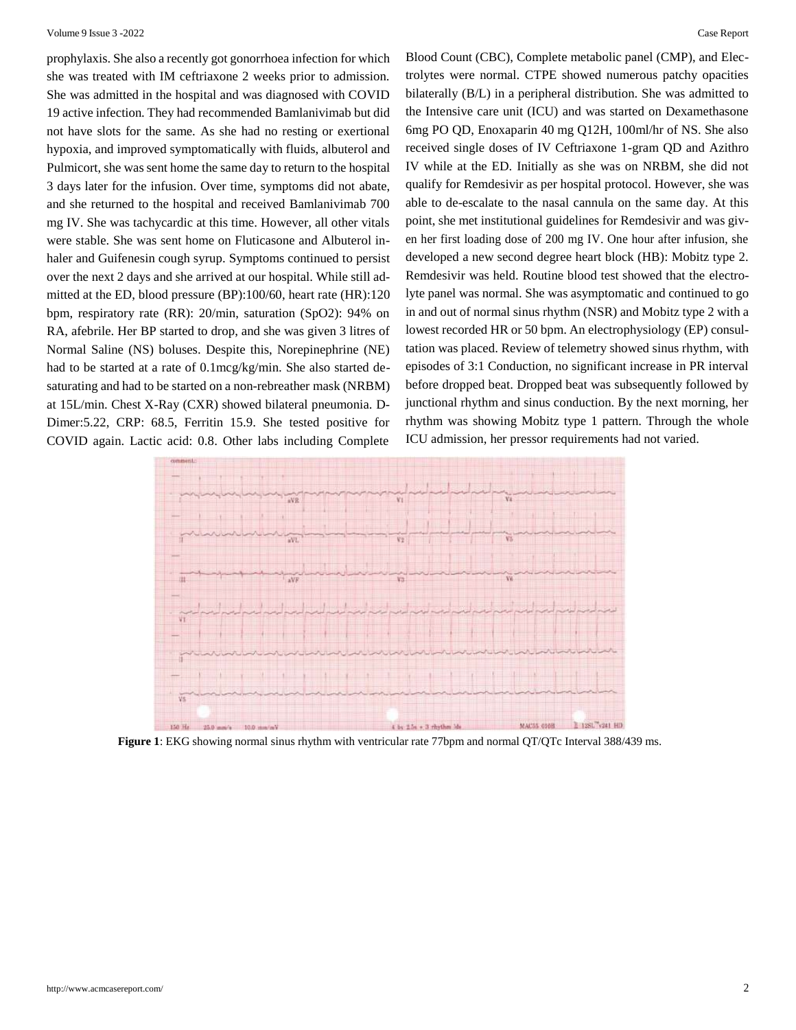prophylaxis. She also a recently got gonorrhoea infection for which she was treated with IM ceftriaxone 2 weeks prior to admission. She was admitted in the hospital and was diagnosed with COVID 19 active infection. They had recommended Bamlanivimab but did not have slots for the same. As she had no resting or exertional hypoxia, and improved symptomatically with fluids, albuterol and Pulmicort, she was sent home the same day to return to the hospital 3 days later for the infusion. Over time, symptoms did not abate, and she returned to the hospital and received Bamlanivimab 700 mg IV. She was tachycardic at this time. However, all other vitals were stable. She was sent home on Fluticasone and Albuterol inhaler and Guifenesin cough syrup. Symptoms continued to persist over the next 2 days and she arrived at our hospital. While still admitted at the ED, blood pressure (BP):100/60, heart rate (HR):120 bpm, respiratory rate (RR): 20/min, saturation (SpO2): 94% on RA, afebrile. Her BP started to drop, and she was given 3 litres of Normal Saline (NS) boluses. Despite this, Norepinephrine (NE) had to be started at a rate of 0.1mcg/kg/min. She also started desaturating and had to be started on a non-rebreather mask (NRBM) at 15L/min. Chest X-Ray (CXR) showed bilateral pneumonia. D-Dimer:5.22, CRP: 68.5, Ferritin 15.9. She tested positive for COVID again. Lactic acid: 0.8. Other labs including Complete

Blood Count (CBC), Complete metabolic panel (CMP), and Electrolytes were normal. CTPE showed numerous patchy opacities bilaterally (B/L) in a peripheral distribution. She was admitted to the Intensive care unit (ICU) and was started on Dexamethasone 6mg PO QD, Enoxaparin 40 mg Q12H, 100ml/hr of NS. She also received single doses of IV Ceftriaxone 1-gram QD and Azithro IV while at the ED. Initially as she was on NRBM, she did not qualify for Remdesivir as per hospital protocol. However, she was able to de-escalate to the nasal cannula on the same day. At this point, she met institutional guidelines for Remdesivir and was given her first loading dose of 200 mg IV. One hour after infusion, she developed a new second degree heart block (HB): Mobitz type 2. Remdesivir was held. Routine blood test showed that the electrolyte panel was normal. She was asymptomatic and continued to go in and out of normal sinus rhythm (NSR) and Mobitz type 2 with a lowest recorded HR or 50 bpm. An electrophysiology (EP) consultation was placed. Review of telemetry showed sinus rhythm, with episodes of 3:1 Conduction, no significant increase in PR interval before dropped beat. Dropped beat was subsequently followed by junctional rhythm and sinus conduction. By the next morning, her rhythm was showing Mobitz type 1 pattern. Through the whole ICU admission, her pressor requirements had not varied.



**Figure 1**: EKG showing normal sinus rhythm with ventricular rate 77bpm and normal QT/QTc Interval 388/439 ms.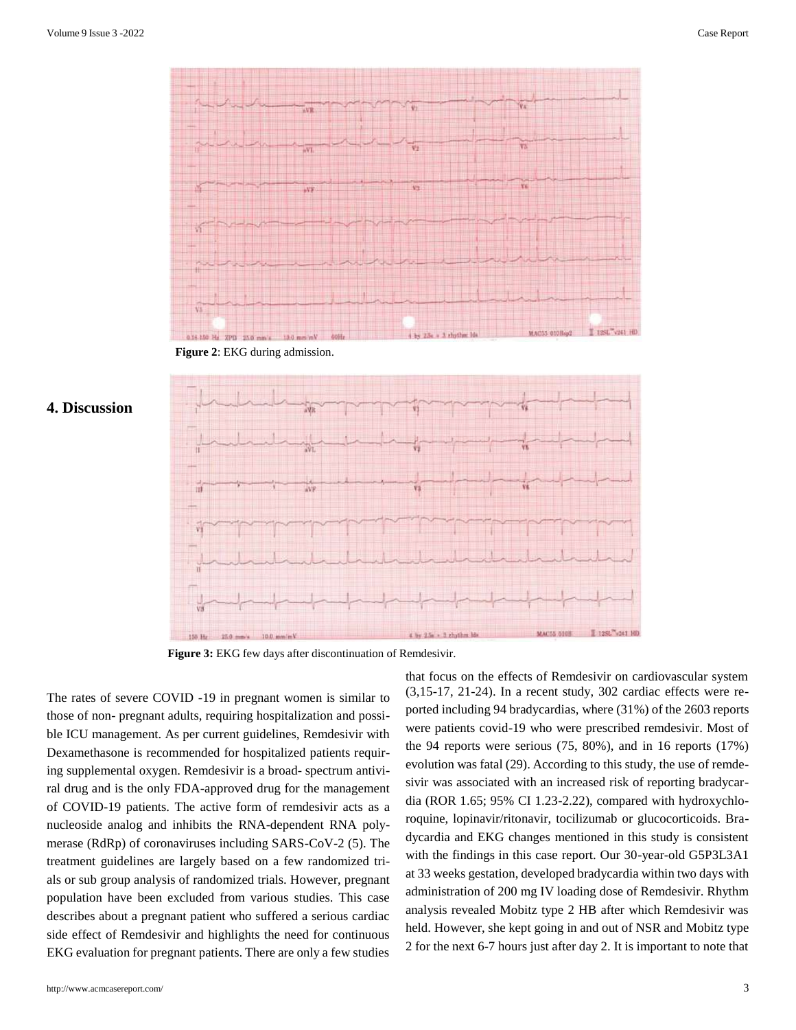

**Figure 2**: EKG during admission.





**Figure 3:** EKG few days after discontinuation of Remdesivir.

The rates of severe COVID -19 in pregnant women is similar to those of non- pregnant adults, requiring hospitalization and possible ICU management. As per current guidelines, Remdesivir with Dexamethasone is recommended for hospitalized patients requiring supplemental oxygen. Remdesivir is a broad- spectrum antiviral drug and is the only FDA-approved drug for the management of COVID-19 patients. The active form of remdesivir acts as a nucleoside analog and inhibits the RNA-dependent RNA polymerase (RdRp) of coronaviruses including SARS-CoV-2 (5). The treatment guidelines are largely based on a few randomized trials or sub group analysis of randomized trials. However, pregnant population have been excluded from various studies. This case describes about a pregnant patient who suffered a serious cardiac side effect of Remdesivir and highlights the need for continuous EKG evaluation for pregnant patients. There are only a few studies

<http://www.acmcasereport.com/> 3

that focus on the effects of Remdesivir on cardiovascular system (3,15-17, 21-24). In a recent study, 302 cardiac effects were reported including 94 bradycardias, where (31%) of the 2603 reports were patients covid-19 who were prescribed remdesivir. Most of the 94 reports were serious (75, 80%), and in 16 reports (17%) evolution was fatal (29). According to this study, the use of remdesivir was associated with an increased risk of reporting bradycardia (ROR 1.65; 95% CI 1.23-2.22), compared with hydroxychloroquine, lopinavir/ritonavir, tocilizumab or glucocorticoids. Bradycardia and EKG changes mentioned in this study is consistent with the findings in this case report. Our 30-year-old G5P3L3A1 at 33 weeks gestation, developed bradycardia within two days with administration of 200 mg IV loading dose of Remdesivir. Rhythm analysis revealed Mobitz type 2 HB after which Remdesivir was held. However, she kept going in and out of NSR and Mobitz type 2 for the next 6-7 hours just after day 2. It is important to note that